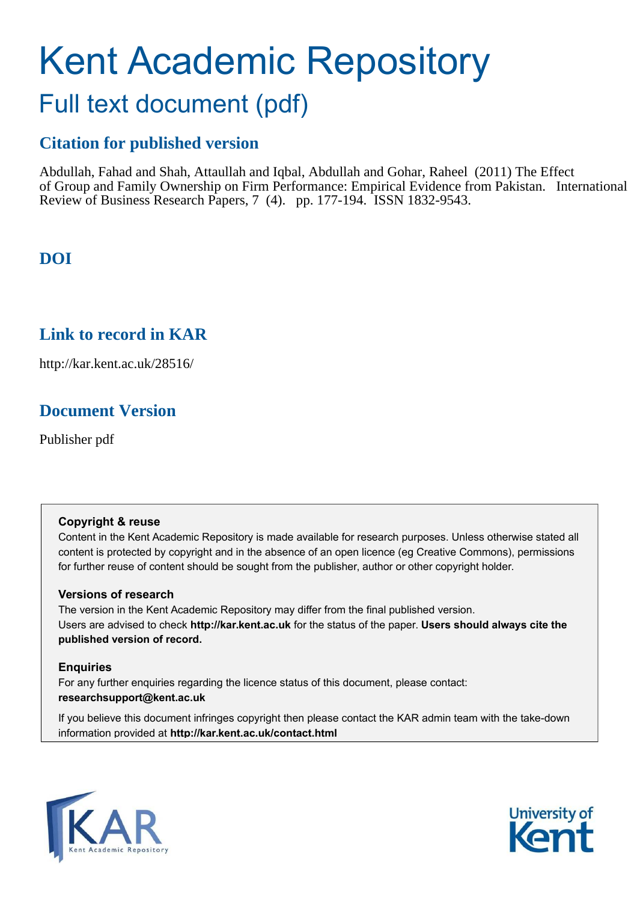# Kent Academic Repository

# Full text document (pdf)

# **Citation for published version**

Abdullah, Fahad and Shah, Attaullah and Iqbal, Abdullah and Gohar, Raheel (2011) The Effect of Group and Family Ownership on Firm Performance: Empirical Evidence from Pakistan. International Review of Business Research Papers, 7 (4). pp. 177-194. ISSN 1832-9543.

# **DOI**

# **Link to record in KAR**

http://kar.kent.ac.uk/28516/

# **Document Version**

Publisher pdf

#### **Copyright & reuse**

Content in the Kent Academic Repository is made available for research purposes. Unless otherwise stated all content is protected by copyright and in the absence of an open licence (eg Creative Commons), permissions for further reuse of content should be sought from the publisher, author or other copyright holder.

#### **Versions of research**

The version in the Kent Academic Repository may differ from the final published version. Users are advised to check **http://kar.kent.ac.uk** for the status of the paper. **Users should always cite the published version of record.**

#### **Enquiries**

For any further enquiries regarding the licence status of this document, please contact: **researchsupport@kent.ac.uk**

If you believe this document infringes copyright then please contact the KAR admin team with the take-down information provided at **http://kar.kent.ac.uk/contact.html**



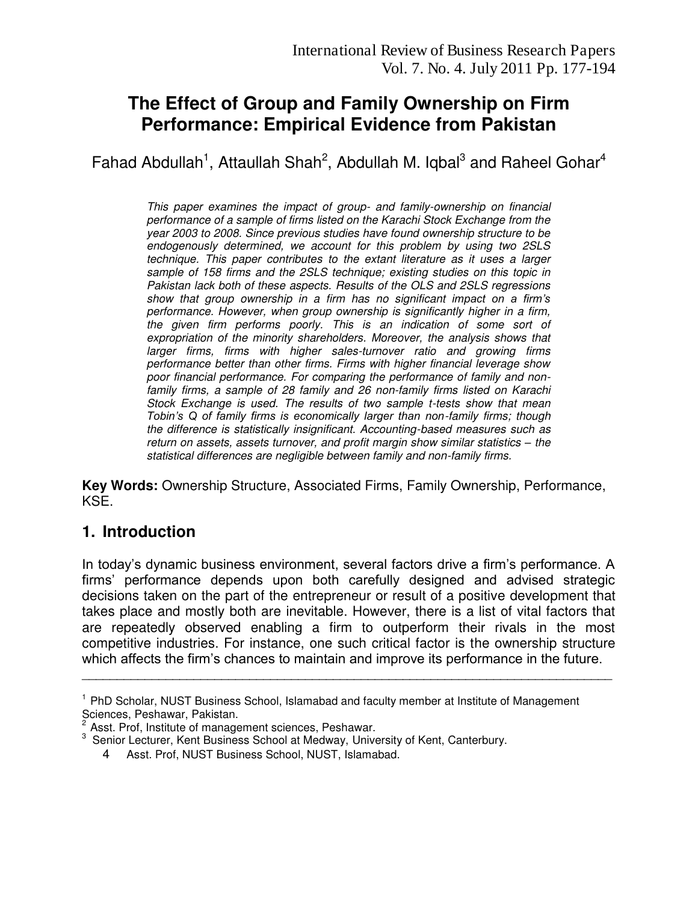# **The Effect of Group and Family Ownership on Firm Performance: Empirical Evidence from Pakistan**

Fahad Abdullah<sup>1</sup>, Attaullah Shah<sup>2</sup>, Abdullah M. Iqbal<sup>3</sup> and Raheel Gohar<sup>4</sup>

*This paper examines the impact of group- and family-ownership on financial performance of a sample of firms listed on the Karachi Stock Exchange from the year 2003 to 2008. Since previous studies have found ownership structure to be endogenously determined, we account for this problem by using two 2SLS technique. This paper contributes to the extant literature as it uses a larger sample of 158 firms and the 2SLS technique; existing studies on this topic in Pakistan lack both of these aspects. Results of the OLS and 2SLS regressions show that group ownership in a firm has no significant impact on a firm's performance. However, when group ownership is significantly higher in a firm, the given firm performs poorly. This is an indication of some sort of expropriation of the minority shareholders. Moreover, the analysis shows that larger firms, firms with higher sales-turnover ratio and growing firms performance better than other firms. Firms with higher financial leverage show poor financial performance. For comparing the performance of family and nonfamily firms, a sample of 28 family and 26 non-family firms listed on Karachi Stock Exchange is used. The results of two sample t-tests show that mean Tobin's Q of family firms is economically larger than non-family firms; though the difference is statistically insignificant. Accounting-based measures such as return on assets, assets turnover, and profit margin show similar statistics – the statistical differences are negligible between family and non-family firms.* 

**Key Words:** Ownership Structure, Associated Firms, Family Ownership, Performance, KSE.

# **1. Introduction**

In today"s dynamic business environment, several factors drive a firm"s performance. A firms" performance depends upon both carefully designed and advised strategic decisions taken on the part of the entrepreneur or result of a positive development that takes place and mostly both are inevitable. However, there is a list of vital factors that are repeatedly observed enabling a firm to outperform their rivals in the most competitive industries. For instance, one such critical factor is the ownership structure which affects the firm's chances to maintain and improve its performance in the future.

\_\_\_\_\_\_\_\_\_\_\_\_\_\_\_\_\_\_\_\_\_\_\_\_\_\_\_\_\_\_\_\_\_\_\_\_\_\_\_\_\_\_\_\_\_\_\_\_\_\_\_\_\_\_\_\_\_\_\_\_\_\_\_\_\_\_\_\_\_\_\_\_\_\_\_\_

<sup>&</sup>lt;sup>1</sup> PhD Scholar, NUST Business School, Islamabad and faculty member at Institute of Management Sciences, Peshawar, Pakistan.

 $2^{2}$  Asst. Prof, Institute of management sciences, Peshawar.

<sup>&</sup>lt;sup>3</sup> Senior Lecturer, Kent Business School at Medway, University of Kent, Canterbury.

<sup>4</sup> Asst. Prof, NUST Business School, NUST, Islamabad.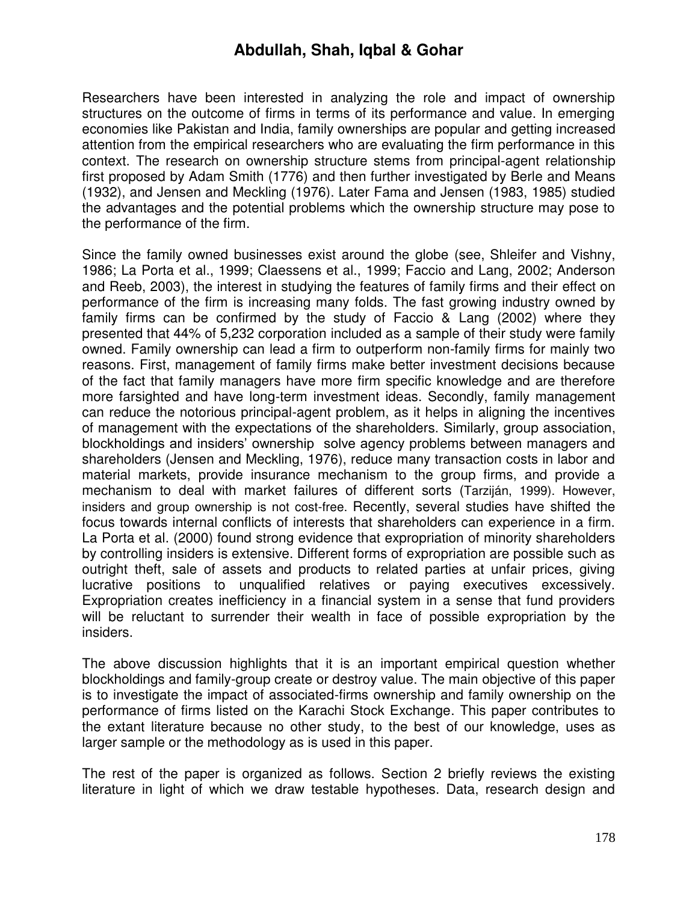Researchers have been interested in analyzing the role and impact of ownership structures on the outcome of firms in terms of its performance and value. In emerging economies like Pakistan and India, family ownerships are popular and getting increased attention from the empirical researchers who are evaluating the firm performance in this context. The research on ownership structure stems from principal-agent relationship first proposed by Adam Smith (1776) and then further investigated by Berle and Means (1932), and Jensen and Meckling (1976). Later Fama and Jensen (1983, 1985) studied the advantages and the potential problems which the ownership structure may pose to the performance of the firm.

Since the family owned businesses exist around the globe (see, Shleifer and Vishny, 1986; La Porta et al., 1999; Claessens et al., 1999; Faccio and Lang, 2002; Anderson and Reeb, 2003), the interest in studying the features of family firms and their effect on performance of the firm is increasing many folds. The fast growing industry owned by family firms can be confirmed by the study of Faccio & Lang (2002) where they presented that 44% of 5,232 corporation included as a sample of their study were family owned. Family ownership can lead a firm to outperform non-family firms for mainly two reasons. First, management of family firms make better investment decisions because of the fact that family managers have more firm specific knowledge and are therefore more farsighted and have long-term investment ideas. Secondly, family management can reduce the notorious principal-agent problem, as it helps in aligning the incentives of management with the expectations of the shareholders. Similarly, group association, blockholdings and insiders" ownership solve agency problems between managers and shareholders (Jensen and Meckling, 1976), reduce many transaction costs in labor and material markets, provide insurance mechanism to the group firms, and provide a mechanism to deal with market failures of different sorts (Tarziján, 1999). However, insiders and group ownership is not cost-free. Recently, several studies have shifted the focus towards internal conflicts of interests that shareholders can experience in a firm. La Porta et al. (2000) found strong evidence that expropriation of minority shareholders by controlling insiders is extensive. Different forms of expropriation are possible such as outright theft, sale of assets and products to related parties at unfair prices, giving lucrative positions to unqualified relatives or paying executives excessively. Expropriation creates inefficiency in a financial system in a sense that fund providers will be reluctant to surrender their wealth in face of possible expropriation by the insiders.

The above discussion highlights that it is an important empirical question whether blockholdings and family-group create or destroy value. The main objective of this paper is to investigate the impact of associated-firms ownership and family ownership on the performance of firms listed on the Karachi Stock Exchange. This paper contributes to the extant literature because no other study, to the best of our knowledge, uses as larger sample or the methodology as is used in this paper.

The rest of the paper is organized as follows. Section 2 briefly reviews the existing literature in light of which we draw testable hypotheses. Data, research design and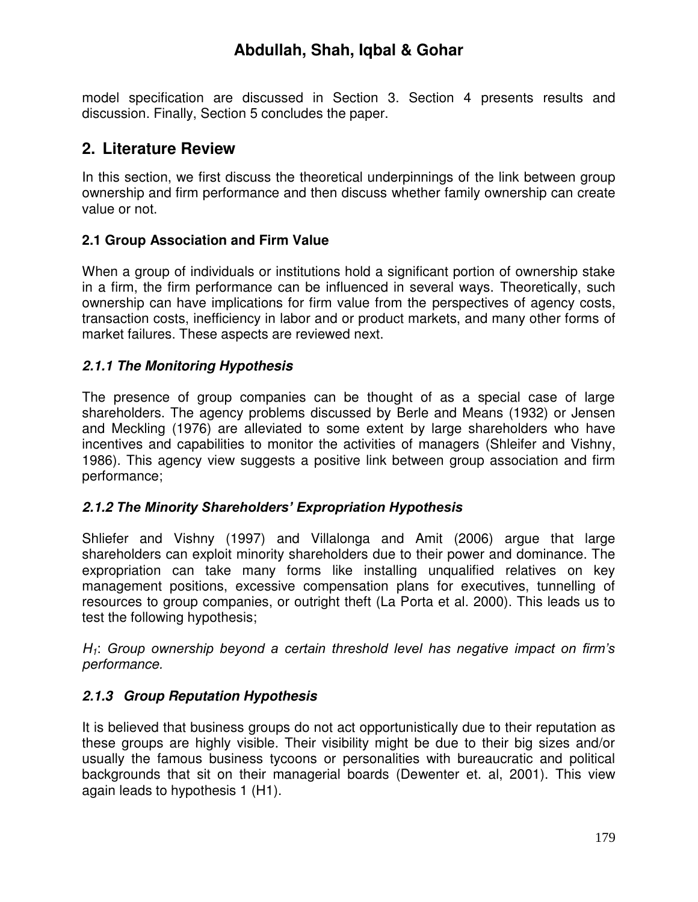model specification are discussed in Section 3. Section 4 presents results and discussion. Finally, Section 5 concludes the paper.

# **2. Literature Review**

In this section, we first discuss the theoretical underpinnings of the link between group ownership and firm performance and then discuss whether family ownership can create value or not.

#### **2.1 Group Association and Firm Value**

When a group of individuals or institutions hold a significant portion of ownership stake in a firm, the firm performance can be influenced in several ways. Theoretically, such ownership can have implications for firm value from the perspectives of agency costs, transaction costs, inefficiency in labor and or product markets, and many other forms of market failures. These aspects are reviewed next.

#### *2.1.1 The Monitoring Hypothesis*

The presence of group companies can be thought of as a special case of large shareholders. The agency problems discussed by Berle and Means (1932) or Jensen and Meckling (1976) are alleviated to some extent by large shareholders who have incentives and capabilities to monitor the activities of managers (Shleifer and Vishny, 1986). This agency view suggests a positive link between group association and firm performance;

#### *2.1.2 The Minority Shareholders' Expropriation Hypothesis*

Shliefer and Vishny (1997) and Villalonga and Amit (2006) argue that large shareholders can exploit minority shareholders due to their power and dominance. The expropriation can take many forms like installing unqualified relatives on key management positions, excessive compensation plans for executives, tunnelling of resources to group companies, or outright theft (La Porta et al. 2000). This leads us to test the following hypothesis;

*H1*: *Group ownership beyond a certain threshold level has negative impact on firm's performance.* 

# *2.1.3 Group Reputation Hypothesis*

It is believed that business groups do not act opportunistically due to their reputation as these groups are highly visible. Their visibility might be due to their big sizes and/or usually the famous business tycoons or personalities with bureaucratic and political backgrounds that sit on their managerial boards (Dewenter et. al, 2001). This view again leads to hypothesis 1 (H1).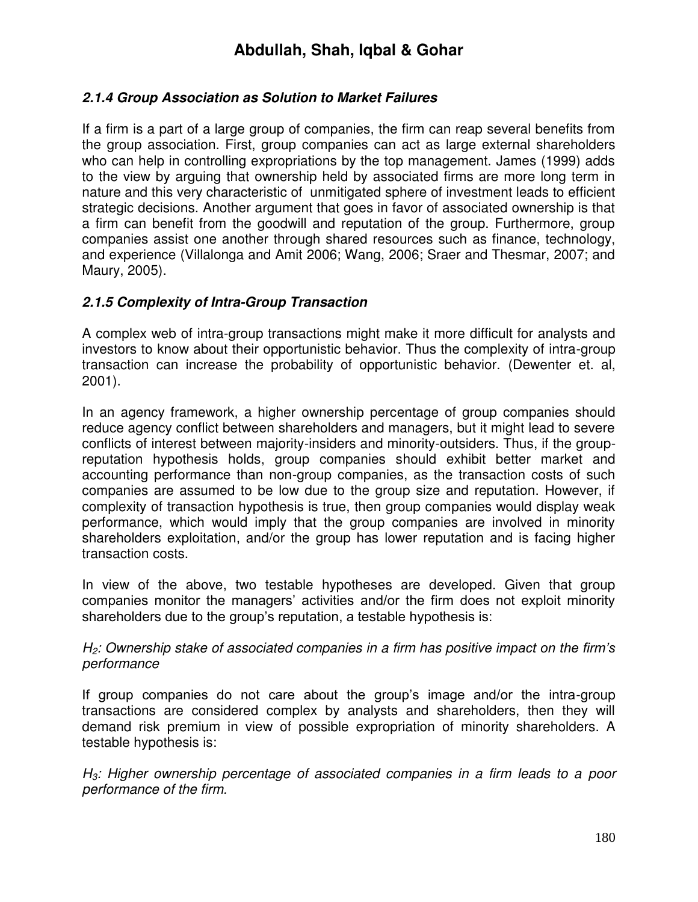#### *2.1.4 Group Association as Solution to Market Failures*

If a firm is a part of a large group of companies, the firm can reap several benefits from the group association. First, group companies can act as large external shareholders who can help in controlling expropriations by the top management. James (1999) adds to the view by arguing that ownership held by associated firms are more long term in nature and this very characteristic of unmitigated sphere of investment leads to efficient strategic decisions. Another argument that goes in favor of associated ownership is that a firm can benefit from the goodwill and reputation of the group. Furthermore, group companies assist one another through shared resources such as finance, technology, and experience (Villalonga and Amit 2006; Wang, 2006; Sraer and Thesmar, 2007; and Maury, 2005).

#### *2.1.5 Complexity of Intra-Group Transaction*

A complex web of intra-group transactions might make it more difficult for analysts and investors to know about their opportunistic behavior. Thus the complexity of intra-group transaction can increase the probability of opportunistic behavior. (Dewenter et. al, 2001).

In an agency framework, a higher ownership percentage of group companies should reduce agency conflict between shareholders and managers, but it might lead to severe conflicts of interest between majority-insiders and minority-outsiders. Thus, if the groupreputation hypothesis holds, group companies should exhibit better market and accounting performance than non-group companies, as the transaction costs of such companies are assumed to be low due to the group size and reputation. However, if complexity of transaction hypothesis is true, then group companies would display weak performance, which would imply that the group companies are involved in minority shareholders exploitation, and/or the group has lower reputation and is facing higher transaction costs.

In view of the above, two testable hypotheses are developed. Given that group companies monitor the managers' activities and/or the firm does not exploit minority shareholders due to the group's reputation, a testable hypothesis is:

#### *H2: Ownership stake of associated companies in a firm has positive impact on the firm's performance*

If group companies do not care about the group's image and/or the intra-group transactions are considered complex by analysts and shareholders, then they will demand risk premium in view of possible expropriation of minority shareholders. A testable hypothesis is:

*H3: Higher ownership percentage of associated companies in a firm leads to a poor performance of the firm.*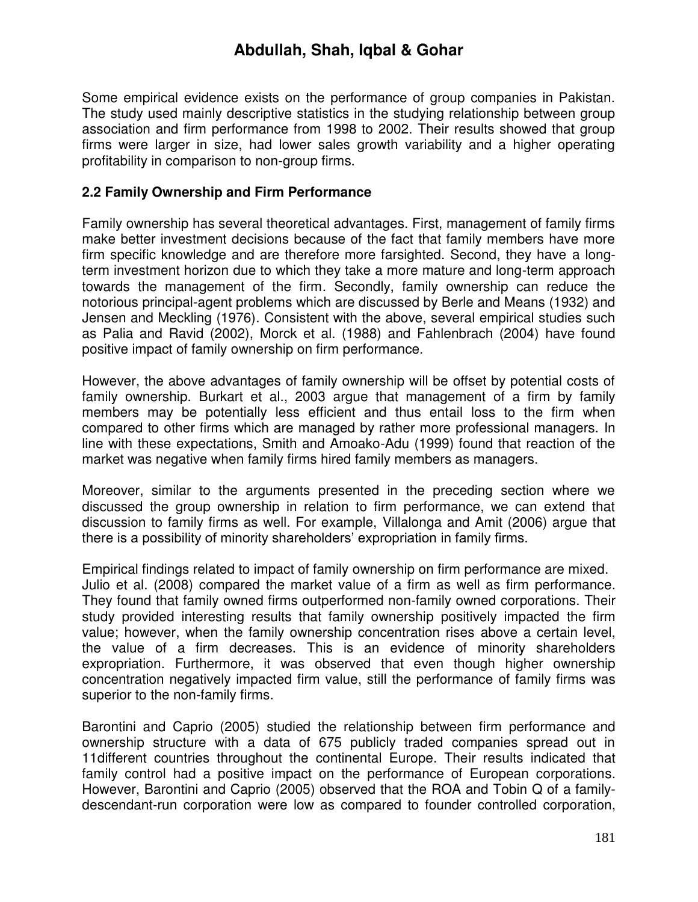Some empirical evidence exists on the performance of group companies in Pakistan. The study used mainly descriptive statistics in the studying relationship between group association and firm performance from 1998 to 2002. Their results showed that group firms were larger in size, had lower sales growth variability and a higher operating profitability in comparison to non-group firms.

#### **2.2 Family Ownership and Firm Performance**

Family ownership has several theoretical advantages. First, management of family firms make better investment decisions because of the fact that family members have more firm specific knowledge and are therefore more farsighted. Second, they have a longterm investment horizon due to which they take a more mature and long-term approach towards the management of the firm. Secondly, family ownership can reduce the notorious principal-agent problems which are discussed by Berle and Means (1932) and Jensen and Meckling (1976). Consistent with the above, several empirical studies such as Palia and Ravid (2002), Morck et al. (1988) and Fahlenbrach (2004) have found positive impact of family ownership on firm performance.

However, the above advantages of family ownership will be offset by potential costs of family ownership. Burkart et al., 2003 argue that management of a firm by family members may be potentially less efficient and thus entail loss to the firm when compared to other firms which are managed by rather more professional managers. In line with these expectations, Smith and Amoako-Adu (1999) found that reaction of the market was negative when family firms hired family members as managers.

Moreover, similar to the arguments presented in the preceding section where we discussed the group ownership in relation to firm performance, we can extend that discussion to family firms as well. For example, Villalonga and Amit (2006) argue that there is a possibility of minority shareholders" expropriation in family firms.

Empirical findings related to impact of family ownership on firm performance are mixed. Julio et al. (2008) compared the market value of a firm as well as firm performance. They found that family owned firms outperformed non-family owned corporations. Their study provided interesting results that family ownership positively impacted the firm value; however, when the family ownership concentration rises above a certain level, the value of a firm decreases. This is an evidence of minority shareholders expropriation. Furthermore, it was observed that even though higher ownership concentration negatively impacted firm value, still the performance of family firms was superior to the non-family firms.

Barontini and Caprio (2005) studied the relationship between firm performance and ownership structure with a data of 675 publicly traded companies spread out in 11different countries throughout the continental Europe. Their results indicated that family control had a positive impact on the performance of European corporations. However, Barontini and Caprio (2005) observed that the ROA and Tobin Q of a familydescendant-run corporation were low as compared to founder controlled corporation,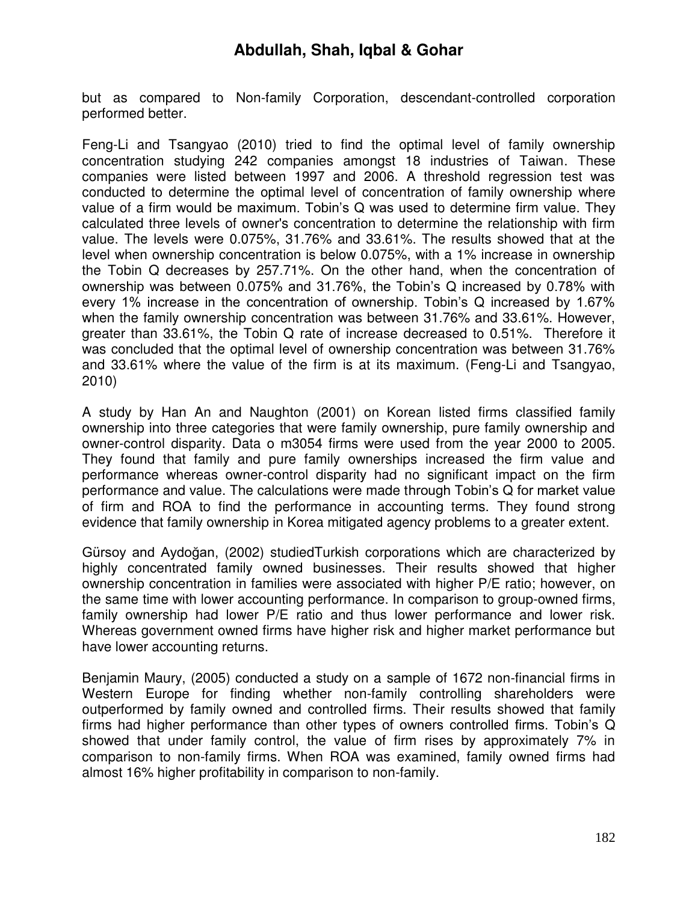but as compared to Non-family Corporation, descendant-controlled corporation performed better.

Feng-Li and Tsangyao (2010) tried to find the optimal level of family ownership concentration studying 242 companies amongst 18 industries of Taiwan. These companies were listed between 1997 and 2006. A threshold regression test was conducted to determine the optimal level of concentration of family ownership where value of a firm would be maximum. Tobin"s Q was used to determine firm value. They calculated three levels of owner's concentration to determine the relationship with firm value. The levels were 0.075%, 31.76% and 33.61%. The results showed that at the level when ownership concentration is below 0.075%, with a 1% increase in ownership the Tobin Q decreases by 257.71%. On the other hand, when the concentration of ownership was between 0.075% and 31.76%, the Tobin"s Q increased by 0.78% with every 1% increase in the concentration of ownership. Tobin"s Q increased by 1.67% when the family ownership concentration was between 31.76% and 33.61%. However, greater than 33.61%, the Tobin Q rate of increase decreased to 0.51%. Therefore it was concluded that the optimal level of ownership concentration was between 31.76% and 33.61% where the value of the firm is at its maximum. (Feng-Li and Tsangyao, 2010)

A study by Han An and Naughton (2001) on Korean listed firms classified family ownership into three categories that were family ownership, pure family ownership and owner-control disparity. Data o m3054 firms were used from the year 2000 to 2005. They found that family and pure family ownerships increased the firm value and performance whereas owner-control disparity had no significant impact on the firm performance and value. The calculations were made through Tobin"s Q for market value of firm and ROA to find the performance in accounting terms. They found strong evidence that family ownership in Korea mitigated agency problems to a greater extent.

Gürsoy and Aydoğan, (2002) studiedTurkish corporations which are characterized by highly concentrated family owned businesses. Their results showed that higher ownership concentration in families were associated with higher P/E ratio; however, on the same time with lower accounting performance. In comparison to group-owned firms, family ownership had lower P/E ratio and thus lower performance and lower risk. Whereas government owned firms have higher risk and higher market performance but have lower accounting returns.

Benjamin Maury, (2005) conducted a study on a sample of 1672 non-financial firms in Western Europe for finding whether non-family controlling shareholders were outperformed by family owned and controlled firms. Their results showed that family firms had higher performance than other types of owners controlled firms. Tobin"s Q showed that under family control, the value of firm rises by approximately 7% in comparison to non-family firms. When ROA was examined, family owned firms had almost 16% higher profitability in comparison to non-family.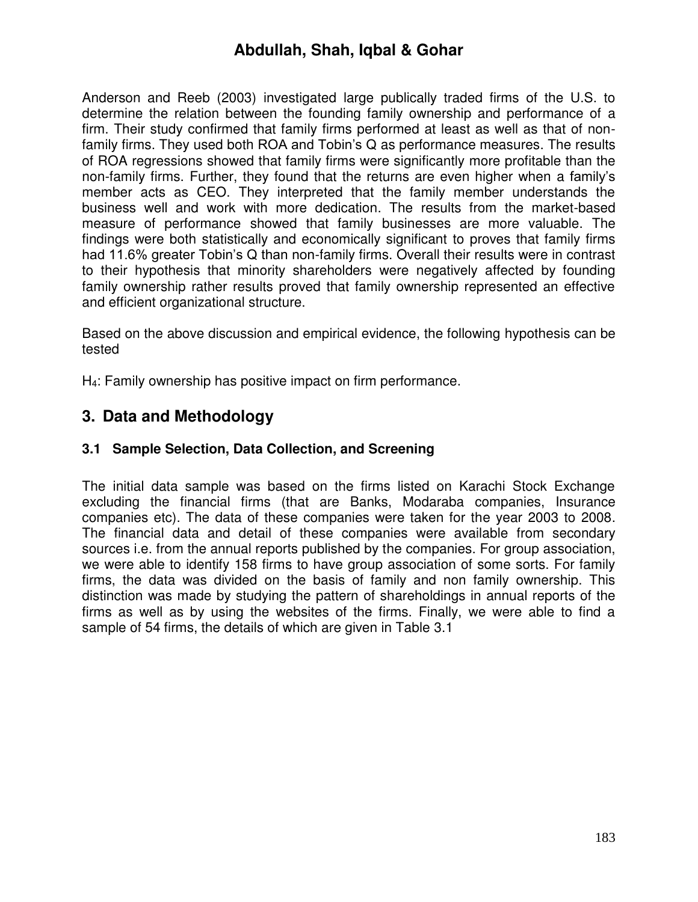Anderson and Reeb (2003) investigated large publically traded firms of the U.S. to determine the relation between the founding family ownership and performance of a firm. Their study confirmed that family firms performed at least as well as that of nonfamily firms. They used both ROA and Tobin's Q as performance measures. The results of ROA regressions showed that family firms were significantly more profitable than the non-family firms. Further, they found that the returns are even higher when a family"s member acts as CEO. They interpreted that the family member understands the business well and work with more dedication. The results from the market-based measure of performance showed that family businesses are more valuable. The findings were both statistically and economically significant to proves that family firms had 11.6% greater Tobin"s Q than non-family firms. Overall their results were in contrast to their hypothesis that minority shareholders were negatively affected by founding family ownership rather results proved that family ownership represented an effective and efficient organizational structure.

Based on the above discussion and empirical evidence, the following hypothesis can be tested

H4: Family ownership has positive impact on firm performance.

# **3. Data and Methodology**

#### **3.1 Sample Selection, Data Collection, and Screening**

The initial data sample was based on the firms listed on Karachi Stock Exchange excluding the financial firms (that are Banks, Modaraba companies, Insurance companies etc). The data of these companies were taken for the year 2003 to 2008. The financial data and detail of these companies were available from secondary sources i.e. from the annual reports published by the companies. For group association, we were able to identify 158 firms to have group association of some sorts. For family firms, the data was divided on the basis of family and non family ownership. This distinction was made by studying the pattern of shareholdings in annual reports of the firms as well as by using the websites of the firms. Finally, we were able to find a sample of 54 firms, the details of which are given in Table 3.1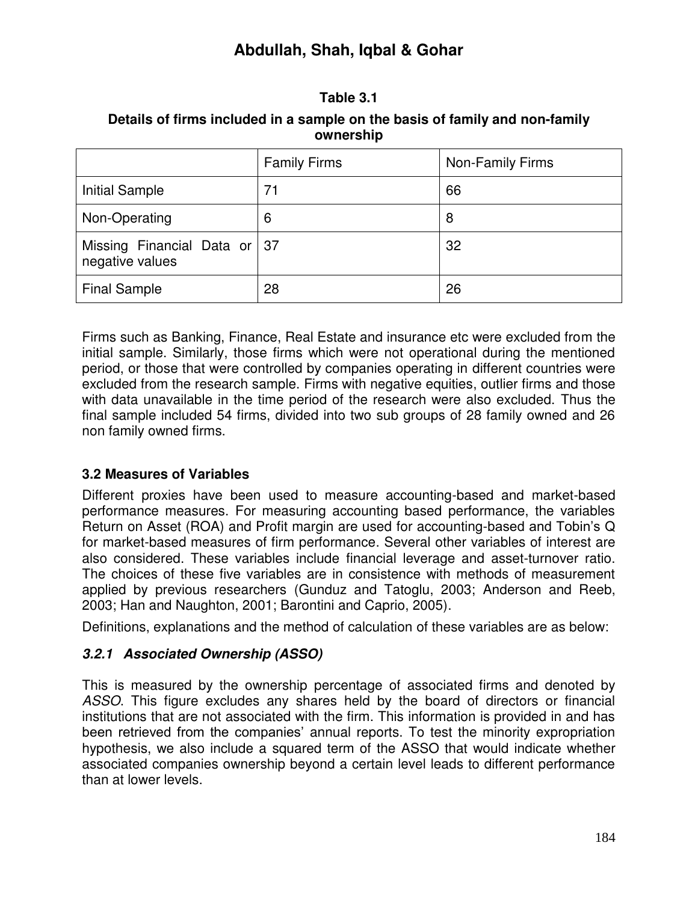#### **Table 3.1**

| Details of firms included in a sample on the basis of family and non-family |  |  |  |  |
|-----------------------------------------------------------------------------|--|--|--|--|
| ownership                                                                   |  |  |  |  |

|                                                   | <b>Family Firms</b> | Non-Family Firms |
|---------------------------------------------------|---------------------|------------------|
| <b>Initial Sample</b>                             | 71                  | 66               |
| Non-Operating                                     | 6                   | 8                |
| Missing Financial Data or   37<br>negative values |                     | 32               |
| <b>Final Sample</b>                               | 28                  | 26               |

Firms such as Banking, Finance, Real Estate and insurance etc were excluded from the initial sample. Similarly, those firms which were not operational during the mentioned period, or those that were controlled by companies operating in different countries were excluded from the research sample. Firms with negative equities, outlier firms and those with data unavailable in the time period of the research were also excluded. Thus the final sample included 54 firms, divided into two sub groups of 28 family owned and 26 non family owned firms.

#### **3.2 Measures of Variables**

Different proxies have been used to measure accounting-based and market-based performance measures. For measuring accounting based performance, the variables Return on Asset (ROA) and Profit margin are used for accounting-based and Tobin"s Q for market-based measures of firm performance. Several other variables of interest are also considered. These variables include financial leverage and asset-turnover ratio. The choices of these five variables are in consistence with methods of measurement applied by previous researchers (Gunduz and Tatoglu, 2003; Anderson and Reeb, 2003; Han and Naughton, 2001; Barontini and Caprio, 2005).

Definitions, explanations and the method of calculation of these variables are as below:

# *3.2.1 Associated Ownership (ASSO)*

This is measured by the ownership percentage of associated firms and denoted by *ASSO*. This figure excludes any shares held by the board of directors or financial institutions that are not associated with the firm. This information is provided in and has been retrieved from the companies' annual reports. To test the minority expropriation hypothesis, we also include a squared term of the ASSO that would indicate whether associated companies ownership beyond a certain level leads to different performance than at lower levels.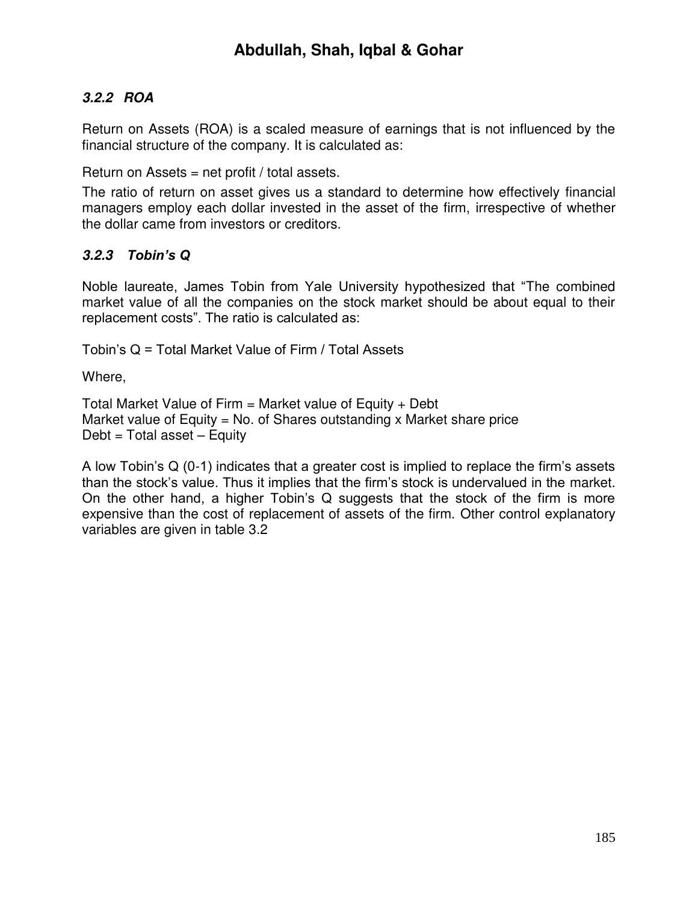# *3.2.2 ROA*

Return on Assets (ROA) is a scaled measure of earnings that is not influenced by the financial structure of the company. It is calculated as:

Return on Assets  $=$  net profit / total assets.

The ratio of return on asset gives us a standard to determine how effectively financial managers employ each dollar invested in the asset of the firm, irrespective of whether the dollar came from investors or creditors.

#### *3.2.3 Tobin's Q*

Noble laureate, James Tobin from Yale University hypothesized that "The combined market value of all the companies on the stock market should be about equal to their replacement costs". The ratio is calculated as:

Tobin"s Q = Total Market Value of Firm / Total Assets

Where,

Total Market Value of Firm  $=$  Market value of Equity  $+$  Debt Market value of Equity = No. of Shares outstanding x Market share price  $Debt = Total asset - Equity$ 

A low Tobin"s Q (0-1) indicates that a greater cost is implied to replace the firm"s assets than the stock"s value. Thus it implies that the firm"s stock is undervalued in the market. On the other hand, a higher Tobin"s Q suggests that the stock of the firm is more expensive than the cost of replacement of assets of the firm. Other control explanatory variables are given in table 3.2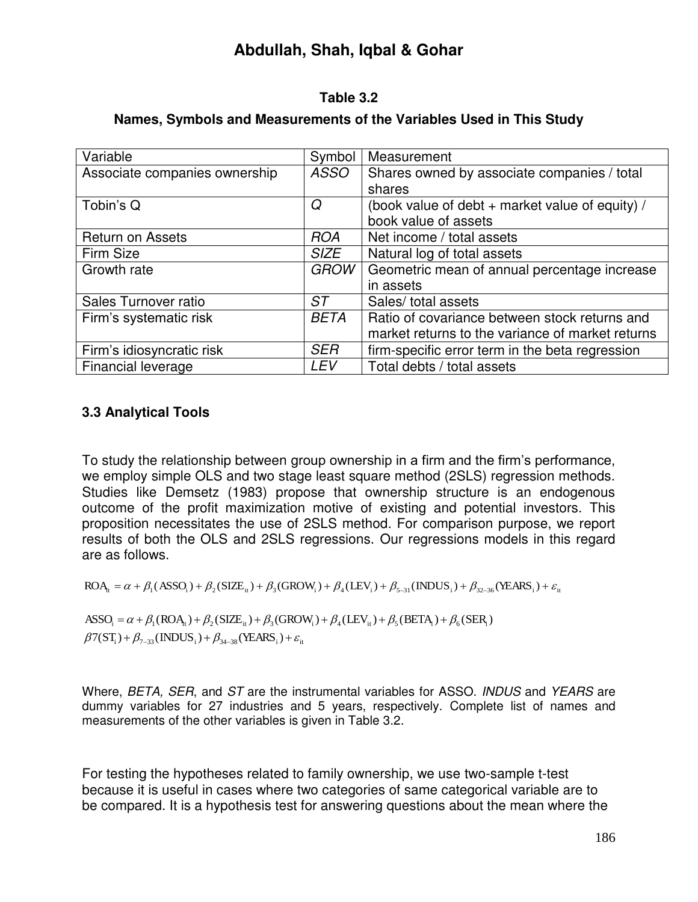#### **Table 3.2**

| Variable                      | Symbol      | Measurement                                      |
|-------------------------------|-------------|--------------------------------------------------|
| Associate companies ownership | <b>ASSO</b> | Shares owned by associate companies / total      |
|                               |             | shares                                           |
| Tobin's Q                     | Q           | (book value of debt + market value of equity) /  |
|                               |             | book value of assets                             |
| <b>Return on Assets</b>       | <b>ROA</b>  | Net income / total assets                        |
| Firm Size                     | <b>SIZE</b> | Natural log of total assets                      |
| Growth rate                   | <b>GROW</b> | Geometric mean of annual percentage increase     |
|                               |             | in assets                                        |
| Sales Turnover ratio          | ST          | Sales/ total assets                              |
| Firm's systematic risk        | <b>BETA</b> | Ratio of covariance between stock returns and    |
|                               |             | market returns to the variance of market returns |
| Firm's idiosyncratic risk     | <b>SER</b>  | firm-specific error term in the beta regression  |
| Financial leverage            | LEV         | Total debts / total assets                       |

# **Names, Symbols and Measurements of the Variables Used in This Study**

# **3.3 Analytical Tools**

To study the relationship between group ownership in a firm and the firm"s performance, we employ simple OLS and two stage least square method (2SLS) regression methods. Studies like Demsetz (1983) propose that ownership structure is an endogenous outcome of the profit maximization motive of existing and potential investors. This proposition necessitates the use of 2SLS method. For comparison purpose, we report results of both the OLS and 2SLS regressions. Our regressions models in this regard are as follows.

$$
ROA_{t} = \alpha + \beta_1(ASSO_i) + \beta_2(SIZE_{it}) + \beta_3(GROW_i) + \beta_4(LEV_i) + \beta_{5-31}(INDUS_i) + \beta_{32-36}(VEARS_i) + \varepsilon_{it}
$$

 $\beta$ 7(ST<sub>i</sub>) +  $\beta_{7-33}$ (INDUS<sub>i</sub>) +  $\beta_{34-38}$ (YEARS<sub>i</sub>) +  $\varepsilon_{\text{it}}$  $\text{ASSO}_i = \alpha + \beta_1 (\text{ROA}_t) + \beta_2 (\text{SIZE}_{it}) + \beta_3 (\text{GROW}_i) + \beta_4 (\text{LEV}_{it}) + \beta_5 (\text{BETA}_i) + \beta_6 (\text{SER}_i)$ 

Where, *BETA, SER*, and *ST* are the instrumental variables for ASSO. *INDUS* and *YEARS* are dummy variables for 27 industries and 5 years, respectively. Complete list of names and measurements of the other variables is given in Table 3.2.

For testing the hypotheses related to family ownership, we use two-sample t-test because it is useful in cases where two categories of same categorical variable are to be compared. It is a hypothesis test for answering questions about the mean where the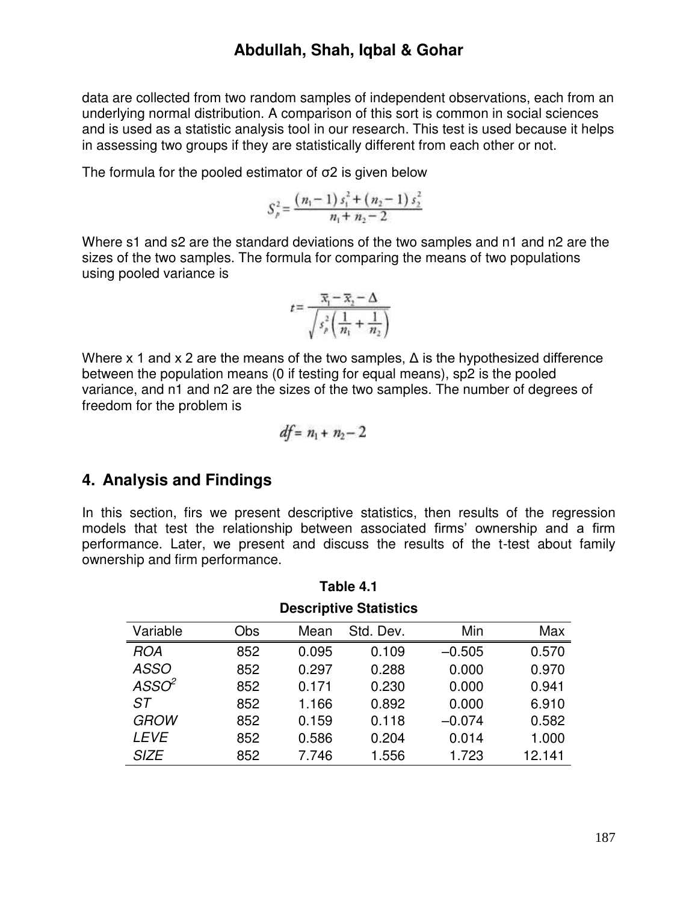data are collected from two random samples of independent observations, each from an underlying normal distribution. A comparison of this sort is common in social sciences and is used as a statistic analysis tool in our research. This test is used because it helps in assessing two groups if they are statistically different from each other or not.

The formula for the pooled estimator of  $\sigma$ 2 is given below

$$
S_p^2 = \frac{(n_1 - 1) s_1^2 + (n_2 - 1) s_2^2}{n_1 + n_2 - 2}
$$

Where s1 and s2 are the standard deviations of the two samples and n1 and n2 are the sizes of the two samples. The formula for comparing the means of two populations using pooled variance is

$$
t = \frac{\overline{x}_1 - \overline{x}_2 - \Delta}{\sqrt{s_{\rho}^2 \left(\frac{1}{n_1} + \frac{1}{n_2}\right)}}
$$

Where x 1 and x 2 are the means of the two samples,  $\Delta$  is the hypothesized difference between the population means (0 if testing for equal means), sp2 is the pooled variance, and n1 and n2 are the sizes of the two samples. The number of degrees of freedom for the problem is

$$
df = n_1 + n_2 - 2
$$

# **4. Analysis and Findings**

In this section, firs we present descriptive statistics, then results of the regression models that test the relationship between associated firms" ownership and a firm performance. Later, we present and discuss the results of the t-test about family ownership and firm performance.

| <b>Descriptive Statistics</b> |     |       |           |          |        |
|-------------------------------|-----|-------|-----------|----------|--------|
| Variable                      | Obs | Mean  | Std. Dev. | Min      | Max    |
| <b>ROA</b>                    | 852 | 0.095 | 0.109     | $-0.505$ | 0.570  |
| <b>ASSO</b>                   | 852 | 0.297 | 0.288     | 0.000    | 0.970  |
| ASSO <sup>2</sup>             | 852 | 0.171 | 0.230     | 0.000    | 0.941  |
| ST                            | 852 | 1.166 | 0.892     | 0.000    | 6.910  |
| <b>GROW</b>                   | 852 | 0.159 | 0.118     | $-0.074$ | 0.582  |
| <b>LEVE</b>                   | 852 | 0.586 | 0.204     | 0.014    | 1.000  |
| <b>SIZE</b>                   | 852 | 7.746 | 1.556     | 1.723    | 12.141 |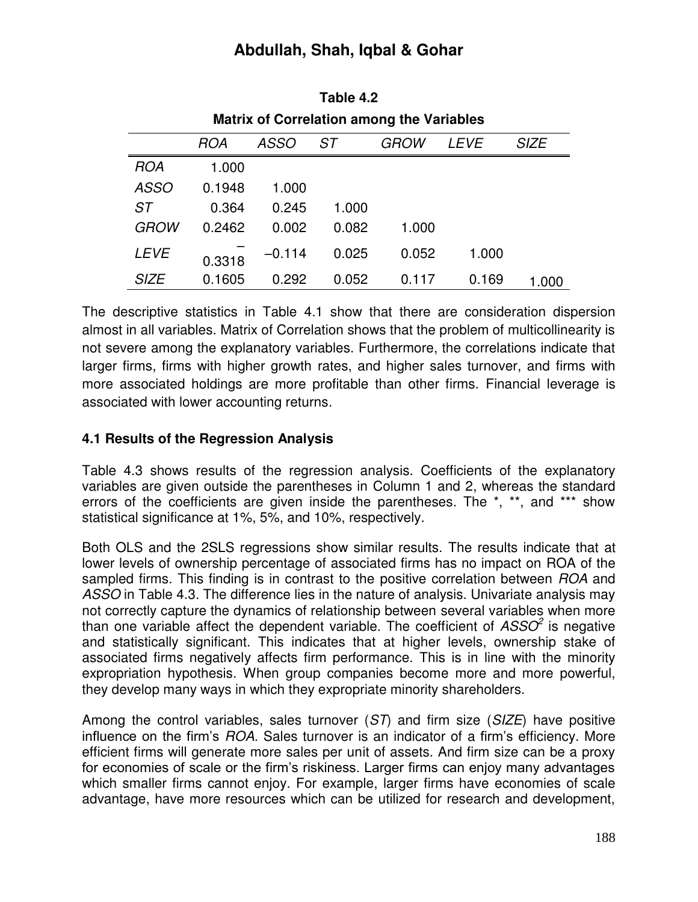| <b>Matrix of Correlation among the Variables</b> |        |             |       |             |             |             |
|--------------------------------------------------|--------|-------------|-------|-------------|-------------|-------------|
|                                                  | ROA    | <i>ASSO</i> | ST    | <i>GROW</i> | <i>LEVE</i> | <b>SIZE</b> |
| <b>ROA</b>                                       | 1.000  |             |       |             |             |             |
| <b>ASSO</b>                                      | 0.1948 | 1.000       |       |             |             |             |
| <b>ST</b>                                        | 0.364  | 0.245       | 1.000 |             |             |             |
| <b>GROW</b>                                      | 0.2462 | 0.002       | 0.082 | 1.000       |             |             |
| <b>LEVE</b>                                      | 0.3318 | $-0.114$    | 0.025 | 0.052       | 1.000       |             |
| <b>SIZE</b>                                      | 0.1605 | 0.292       | 0.052 | 0.117       | 0.169       | 1.000       |

| Table 4.2                                        |
|--------------------------------------------------|
| <b>Matrix of Correlation among the Variables</b> |

The descriptive statistics in Table 4.1 show that there are consideration dispersion almost in all variables. Matrix of Correlation shows that the problem of multicollinearity is not severe among the explanatory variables. Furthermore, the correlations indicate that larger firms, firms with higher growth rates, and higher sales turnover, and firms with more associated holdings are more profitable than other firms. Financial leverage is associated with lower accounting returns.

#### **4.1 Results of the Regression Analysis**

Table 4.3 shows results of the regression analysis. Coefficients of the explanatory variables are given outside the parentheses in Column 1 and 2, whereas the standard errors of the coefficients are given inside the parentheses. The \*, \*\*, and \*\*\* show statistical significance at 1%, 5%, and 10%, respectively.

Both OLS and the 2SLS regressions show similar results. The results indicate that at lower levels of ownership percentage of associated firms has no impact on ROA of the sampled firms. This finding is in contrast to the positive correlation between *ROA* and *ASSO* in Table 4.3. The difference lies in the nature of analysis. Univariate analysis may not correctly capture the dynamics of relationship between several variables when more than one variable affect the dependent variable. The coefficient of *ASSO<sup>2</sup>* is negative and statistically significant. This indicates that at higher levels, ownership stake of associated firms negatively affects firm performance. This is in line with the minority expropriation hypothesis. When group companies become more and more powerful, they develop many ways in which they expropriate minority shareholders.

Among the control variables, sales turnover (*ST*) and firm size (*SIZE*) have positive influence on the firm"s *ROA*. Sales turnover is an indicator of a firm"s efficiency. More efficient firms will generate more sales per unit of assets. And firm size can be a proxy for economies of scale or the firm"s riskiness. Larger firms can enjoy many advantages which smaller firms cannot enjoy. For example, larger firms have economies of scale advantage, have more resources which can be utilized for research and development,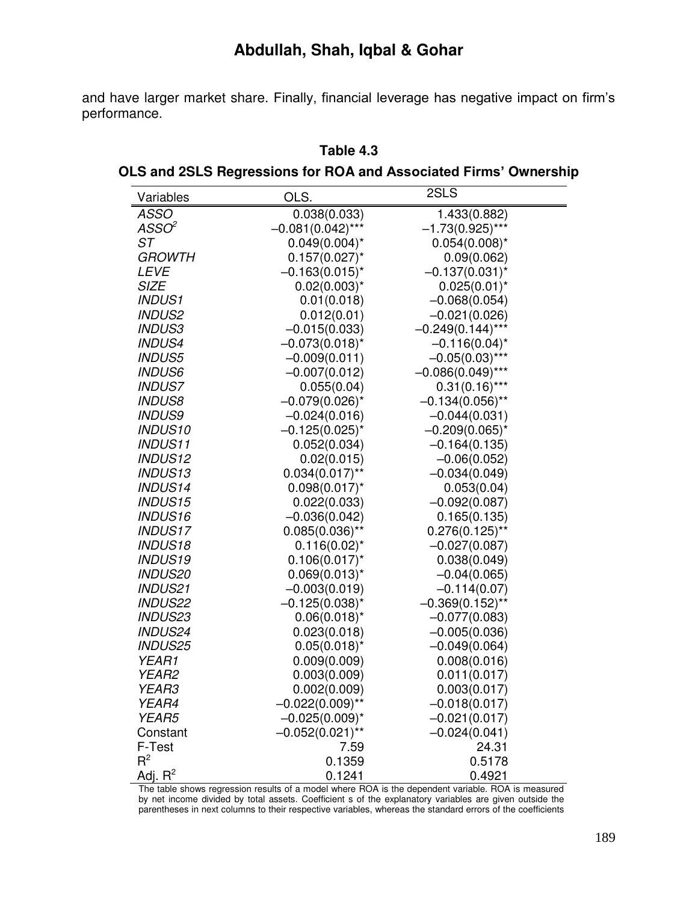and have larger market share. Finally, financial leverage has negative impact on firm"s performance.

| Variables            | OLS.                | 2SLS                |
|----------------------|---------------------|---------------------|
| <b>ASSO</b>          | 0.038(0.033)        | 1.433(0.882)        |
| ASSO <sup>2</sup>    | $-0.081(0.042)$ *** | $-1.73(0.925)***$   |
| ST                   | $0.049(0.004)^{*}$  | $0.054(0.008)^{*}$  |
| <i><b>GROWTH</b></i> | $0.157(0.027)^{*}$  | 0.09(0.062)         |
| <b>LEVE</b>          | $-0.163(0.015)^{*}$ | $-0.137(0.031)^{*}$ |
| <b>SIZE</b>          | $0.02(0.003)^{*}$   | $0.025(0.01)^{*}$   |
| <b>INDUS1</b>        | 0.01(0.018)         | $-0.068(0.054)$     |
| <b>INDUS2</b>        | 0.012(0.01)         | $-0.021(0.026)$     |
| <b>INDUS3</b>        | $-0.015(0.033)$     | $-0.249(0.144)$ *** |
| <b>INDUS4</b>        | $-0.073(0.018)^{*}$ | $-0.116(0.04)^{*}$  |
| <b>INDUS5</b>        | $-0.009(0.011)$     | $-0.05(0.03)$ ***   |
| <b>INDUS6</b>        | $-0.007(0.012)$     | $-0.086(0.049)$ *** |
| <b>INDUS7</b>        | 0.055(0.04)         | $0.31(0.16)***$     |
| <b>INDUS8</b>        | $-0.079(0.026)$ *   | $-0.134(0.056)$ **  |
| <b>INDUS9</b>        | $-0.024(0.016)$     | $-0.044(0.031)$     |
| <b>INDUS10</b>       | $-0.125(0.025)^{*}$ | $-0.209(0.065)^{*}$ |
| <b>INDUS11</b>       | 0.052(0.034)        | $-0.164(0.135)$     |
| <b>INDUS12</b>       | 0.02(0.015)         | $-0.06(0.052)$      |
| <b>INDUS13</b>       | $0.034(0.017)$ **   | $-0.034(0.049)$     |
| <b>INDUS14</b>       | $0.098(0.017)^{*}$  | 0.053(0.04)         |
| <b>INDUS15</b>       | 0.022(0.033)        | $-0.092(0.087)$     |
| <b>INDUS16</b>       | $-0.036(0.042)$     | 0.165(0.135)        |
| <b>INDUS17</b>       | $0.085(0.036)$ **   | $0.276(0.125)$ **   |
| <b>INDUS18</b>       | $0.116(0.02)^{*}$   | $-0.027(0.087)$     |
| <b>INDUS19</b>       | $0.106(0.017)^{*}$  | 0.038(0.049)        |
| <b>INDUS20</b>       | $0.069(0.013)^{*}$  | $-0.04(0.065)$      |
| <b>INDUS21</b>       | $-0.003(0.019)$     | $-0.114(0.07)$      |
| <b>INDUS22</b>       | $-0.125(0.038)^{*}$ | $-0.369(0.152)$ **  |
| <b>INDUS23</b>       | $0.06(0.018)^{*}$   | $-0.077(0.083)$     |
| <b>INDUS24</b>       | 0.023(0.018)        | $-0.005(0.036)$     |
| <b>INDUS25</b>       | $0.05(0.018)^{*}$   | $-0.049(0.064)$     |
| <b>YEAR1</b>         | 0.009(0.009)        | 0.008(0.016)        |
| YEAR2                | 0.003(0.009)        | 0.011(0.017)        |
| YEAR3                | 0.002(0.009)        | 0.003(0.017)        |
| YEAR4                | $-0.022(0.009)$ **  | $-0.018(0.017)$     |
| <b>YEAR5</b>         | $-0.025(0.009)^{*}$ | $-0.021(0.017)$     |
| Constant             | $-0.052(0.021)$ **  | $-0.024(0.041)$     |
| F-Test               | 7.59                | 24.31               |
| $R^2$                | 0.1359              | 0.5178              |
| Adj. $R^2$           | 0.1241              | 0.4921              |

#### **Table 4.3**

**OLS and 2SLS Regressions for ROA and Associated Firms' Ownership** 

The table shows regression results of a model where ROA is the dependent variable. ROA is measured by net income divided by total assets. Coefficient s of the explanatory variables are given outside the parentheses in next columns to their respective variables, whereas the standard errors of the coefficients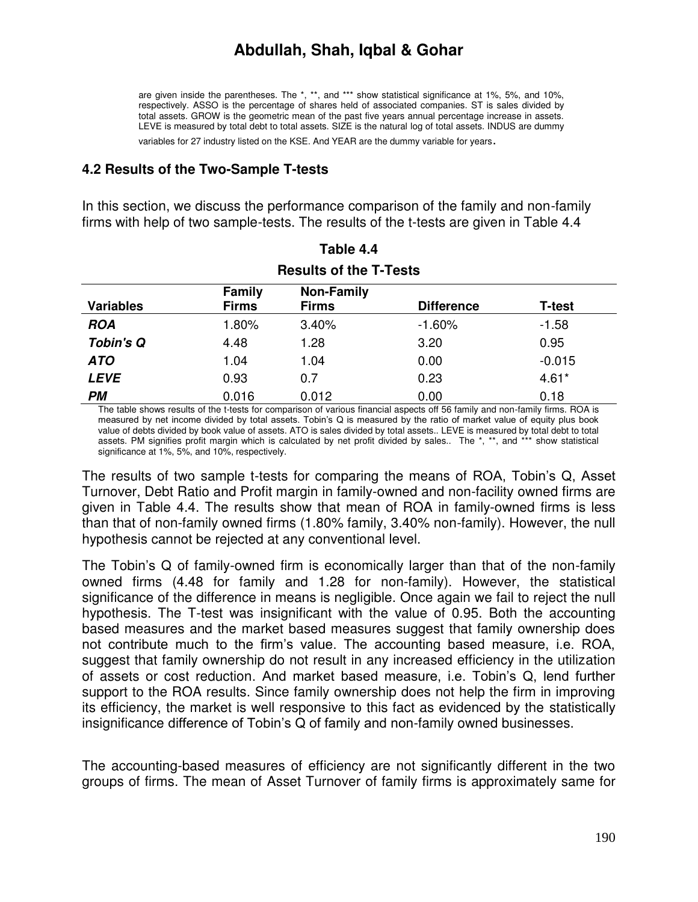are given inside the parentheses. The \*, \*\*, and \*\*\* show statistical significance at 1%, 5%, and 10%, respectively. ASSO is the percentage of shares held of associated companies. ST is sales divided by total assets. GROW is the geometric mean of the past five years annual percentage increase in assets. LEVE is measured by total debt to total assets. SIZE is the natural log of total assets. INDUS are dummy

variables for 27 industry listed on the KSE. And YEAR are the dummy variable for years.

#### **4.2 Results of the Two-Sample T-tests**

In this section, we discuss the performance comparison of the family and non-family firms with help of two sample-tests. The results of the t-tests are given in Table 4.4

| <b>Results of the T-Tests</b> |                               |                                   |                   |               |  |
|-------------------------------|-------------------------------|-----------------------------------|-------------------|---------------|--|
| <b>Variables</b>              | <b>Family</b><br><b>Firms</b> | <b>Non-Family</b><br><b>Firms</b> | <b>Difference</b> | <b>T-test</b> |  |
| <b>ROA</b>                    | 1.80%                         | 3.40%                             | $-1.60%$          | $-1.58$       |  |
| <b>Tobin's Q</b>              | 4.48                          | 1.28                              | 3.20              | 0.95          |  |
| <b>ATO</b>                    | 1.04                          | 1.04                              | 0.00              | $-0.015$      |  |
| <b>LEVE</b>                   | 0.93                          | 0.7                               | 0.23              | $4.61*$       |  |
| PМ                            | 0.016                         | 0.012                             | 0.00              | 0.18          |  |

| Table 4.4              |  |
|------------------------|--|
| Results of the T-Tests |  |

The table shows results of the t-tests for comparison of various financial aspects off 56 family and non-family firms. ROA is measured by net income divided by total assets. Tobin"s Q is measured by the ratio of market value of equity plus book value of debts divided by book value of assets. ATO is sales divided by total assets.. LEVE is measured by total debt to total assets. PM signifies profit margin which is calculated by net profit divided by sales.. The \*, \*\*, and \*\*\* show statistical significance at 1%, 5%, and 10%, respectively.

The results of two sample t-tests for comparing the means of ROA, Tobin"s Q, Asset Turnover, Debt Ratio and Profit margin in family-owned and non-facility owned firms are given in Table 4.4. The results show that mean of ROA in family-owned firms is less than that of non-family owned firms (1.80% family, 3.40% non-family). However, the null hypothesis cannot be rejected at any conventional level.

The Tobin's Q of family-owned firm is economically larger than that of the non-family owned firms (4.48 for family and 1.28 for non-family). However, the statistical significance of the difference in means is negligible. Once again we fail to reject the null hypothesis. The T-test was insignificant with the value of 0.95. Both the accounting based measures and the market based measures suggest that family ownership does not contribute much to the firm"s value. The accounting based measure, i.e. ROA, suggest that family ownership do not result in any increased efficiency in the utilization of assets or cost reduction. And market based measure, i.e. Tobin"s Q, lend further support to the ROA results. Since family ownership does not help the firm in improving its efficiency, the market is well responsive to this fact as evidenced by the statistically insignificance difference of Tobin"s Q of family and non-family owned businesses.

The accounting-based measures of efficiency are not significantly different in the two groups of firms. The mean of Asset Turnover of family firms is approximately same for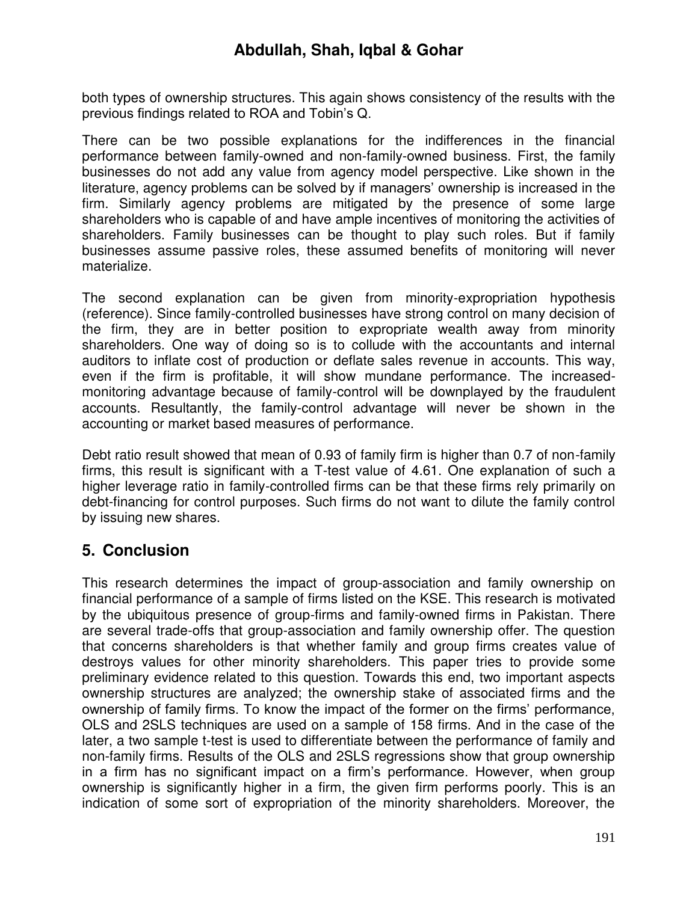both types of ownership structures. This again shows consistency of the results with the previous findings related to ROA and Tobin"s Q.

There can be two possible explanations for the indifferences in the financial performance between family-owned and non-family-owned business. First, the family businesses do not add any value from agency model perspective. Like shown in the literature, agency problems can be solved by if managers' ownership is increased in the firm. Similarly agency problems are mitigated by the presence of some large shareholders who is capable of and have ample incentives of monitoring the activities of shareholders. Family businesses can be thought to play such roles. But if family businesses assume passive roles, these assumed benefits of monitoring will never materialize.

The second explanation can be given from minority-expropriation hypothesis (reference). Since family-controlled businesses have strong control on many decision of the firm, they are in better position to expropriate wealth away from minority shareholders. One way of doing so is to collude with the accountants and internal auditors to inflate cost of production or deflate sales revenue in accounts. This way, even if the firm is profitable, it will show mundane performance. The increasedmonitoring advantage because of family-control will be downplayed by the fraudulent accounts. Resultantly, the family-control advantage will never be shown in the accounting or market based measures of performance.

Debt ratio result showed that mean of 0.93 of family firm is higher than 0.7 of non-family firms, this result is significant with a T-test value of 4.61. One explanation of such a higher leverage ratio in family-controlled firms can be that these firms rely primarily on debt-financing for control purposes. Such firms do not want to dilute the family control by issuing new shares.

# **5. Conclusion**

This research determines the impact of group-association and family ownership on financial performance of a sample of firms listed on the KSE. This research is motivated by the ubiquitous presence of group-firms and family-owned firms in Pakistan. There are several trade-offs that group-association and family ownership offer. The question that concerns shareholders is that whether family and group firms creates value of destroys values for other minority shareholders. This paper tries to provide some preliminary evidence related to this question. Towards this end, two important aspects ownership structures are analyzed; the ownership stake of associated firms and the ownership of family firms. To know the impact of the former on the firms" performance, OLS and 2SLS techniques are used on a sample of 158 firms. And in the case of the later, a two sample t-test is used to differentiate between the performance of family and non-family firms. Results of the OLS and 2SLS regressions show that group ownership in a firm has no significant impact on a firm"s performance. However, when group ownership is significantly higher in a firm, the given firm performs poorly. This is an indication of some sort of expropriation of the minority shareholders. Moreover, the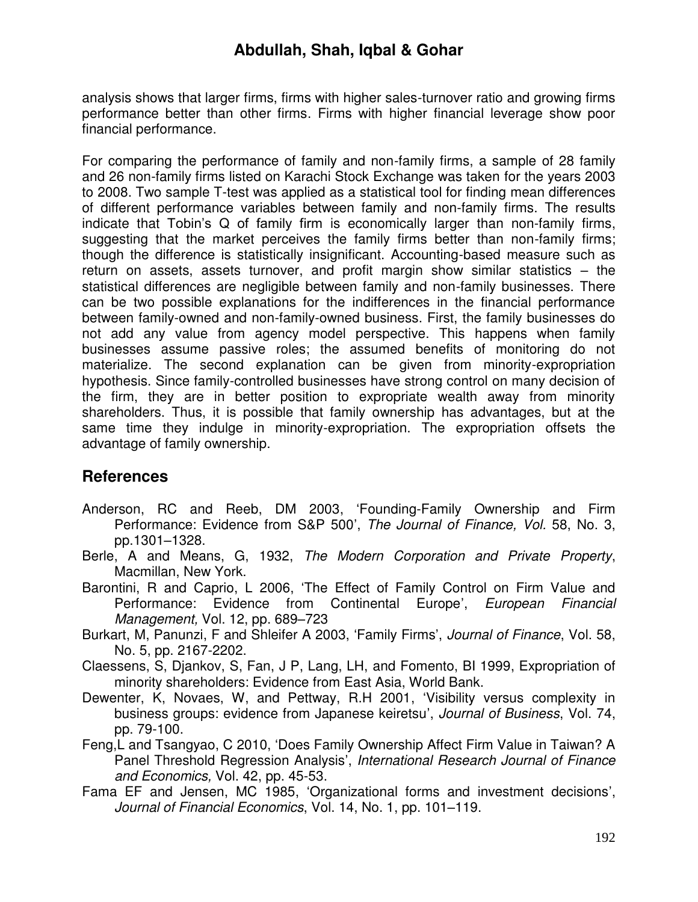analysis shows that larger firms, firms with higher sales-turnover ratio and growing firms performance better than other firms. Firms with higher financial leverage show poor financial performance.

For comparing the performance of family and non-family firms, a sample of 28 family and 26 non-family firms listed on Karachi Stock Exchange was taken for the years 2003 to 2008. Two sample T-test was applied as a statistical tool for finding mean differences of different performance variables between family and non-family firms. The results indicate that Tobin's Q of family firm is economically larger than non-family firms, suggesting that the market perceives the family firms better than non-family firms; though the difference is statistically insignificant. Accounting-based measure such as return on assets, assets turnover, and profit margin show similar statistics – the statistical differences are negligible between family and non-family businesses. There can be two possible explanations for the indifferences in the financial performance between family-owned and non-family-owned business. First, the family businesses do not add any value from agency model perspective. This happens when family businesses assume passive roles; the assumed benefits of monitoring do not materialize. The second explanation can be given from minority-expropriation hypothesis. Since family-controlled businesses have strong control on many decision of the firm, they are in better position to expropriate wealth away from minority shareholders. Thus, it is possible that family ownership has advantages, but at the same time they indulge in minority-expropriation. The expropriation offsets the advantage of family ownership.

# **References**

- Anderson, RC and Reeb, DM 2003, "Founding-Family Ownership and Firm Performance: Evidence from S&P 500", *The Journal of Finance, Vol.* 58, No. 3, pp.1301–1328.
- Berle, A and Means, G, 1932, *The Modern Corporation and Private Property*, Macmillan, New York.
- Barontini, R and Caprio, L 2006, "The Effect of Family Control on Firm Value and Performance: Evidence from Continental Europe', *European Financial Management,* Vol. 12, pp. 689–723
- Burkart, M, Panunzi, F and Shleifer A 2003, "Family Firms", *Journal of Finance*, Vol. 58, No. 5, pp. 2167-2202.
- Claessens, S, Djankov, S, Fan, J P, Lang, LH, and Fomento, BI 1999, Expropriation of minority shareholders: Evidence from East Asia, World Bank.
- Dewenter, K, Novaes, W, and Pettway, R.H 2001, "Visibility versus complexity in business groups: evidence from Japanese keiretsu", *Journal of Business*, Vol. 74, pp. 79-100.
- Feng,L and Tsangyao, C 2010, "Does Family Ownership Affect Firm Value in Taiwan? A Panel Threshold Regression Analysis", *International Research Journal of Finance and Economics,* Vol. 42, pp. 45-53.
- Fama EF and Jensen, MC 1985, "Organizational forms and investment decisions", *Journal of Financial Economics*, Vol. 14, No. 1, pp. 101–119.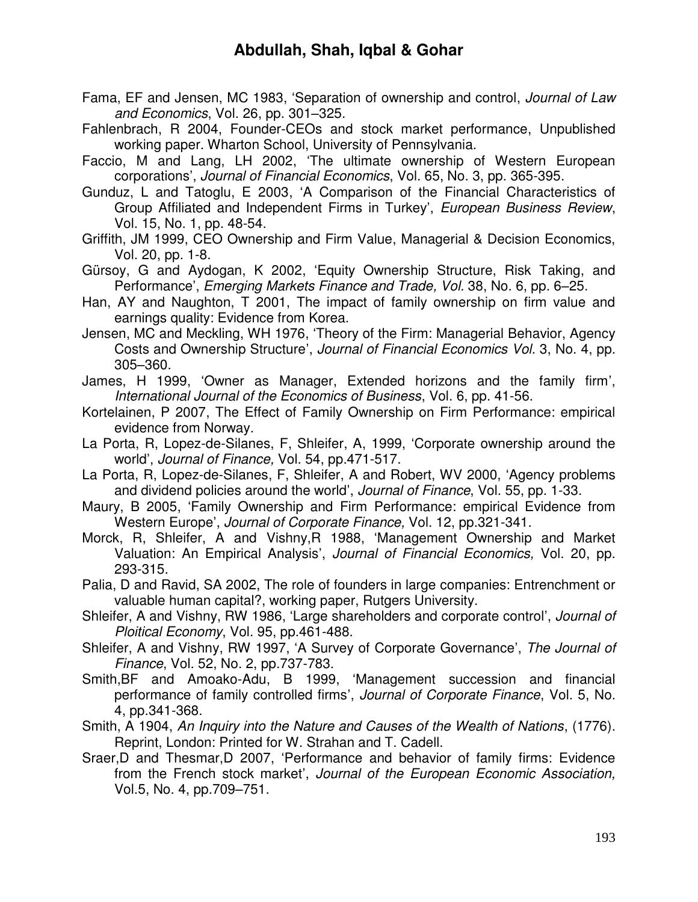- Fama, EF and Jensen, MC 1983, "Separation of ownership and control, *Journal of Law and Economics*, Vol. 26, pp. 301–325.
- Fahlenbrach, R 2004, Founder-CEOs and stock market performance, Unpublished working paper. Wharton School, University of Pennsylvania.
- Faccio, M and Lang, LH 2002, "The ultimate ownership of Western European corporations", *Journal of Financial Economics*, Vol. 65, No. 3, pp. 365-395.
- Gunduz, L and Tatoglu, E 2003, "A Comparison of the Financial Characteristics of Group Affiliated and Independent Firms in Turkey", *European Business Review*, Vol. 15, No. 1, pp. 48-54.
- Griffith, JM 1999, CEO Ownership and Firm Value, Managerial & Decision Economics, Vol. 20, pp. 1-8.
- Gürsoy, G and Aydogan, K 2002, "Equity Ownership Structure, Risk Taking, and Performance", *Emerging Markets Finance and Trade, Vol.* 38, No. 6, pp. 6–25.
- Han, AY and Naughton, T 2001, The impact of family ownership on firm value and earnings quality: Evidence from Korea.
- Jensen, MC and Meckling, WH 1976, "Theory of the Firm: Managerial Behavior, Agency Costs and Ownership Structure", *Journal of Financial Economics Vol.* 3, No. 4, pp. 305–360.
- James, H 1999, "Owner as Manager, Extended horizons and the family firm", *International Journal of the Economics of Business*, Vol. 6, pp. 41-56.
- Kortelainen, P 2007, The Effect of Family Ownership on Firm Performance: empirical evidence from Norway.
- La Porta, R, Lopez-de-Silanes, F, Shleifer, A, 1999, "Corporate ownership around the world", *Journal of Finance,* Vol. 54, pp.471-517.
- La Porta, R, Lopez-de-Silanes, F, Shleifer, A and Robert, WV 2000, "Agency problems and dividend policies around the world", *Journal of Finance*, Vol. 55, pp. 1-33.
- Maury, B 2005, "Family Ownership and Firm Performance: empirical Evidence from Western Europe", *Journal of Corporate Finance,* Vol. 12, pp.321-341.
- Morck, R, Shleifer, A and Vishny,R 1988, "Management Ownership and Market Valuation: An Empirical Analysis", *Journal of Financial Economics,* Vol. 20, pp. 293-315.
- Palia, D and Ravid, SA 2002, The role of founders in large companies: Entrenchment or valuable human capital?, working paper, Rutgers University.
- Shleifer, A and Vishny, RW 1986, "Large shareholders and corporate control", *Journal of Ploitical Economy*, Vol. 95, pp.461-488.
- Shleifer, A and Vishny, RW 1997, "A Survey of Corporate Governance", *The Journal of Finance*, Vol. 52, No. 2, pp.737-783.
- Smith,BF and Amoako-Adu, B 1999, "Management succession and financial performance of family controlled firms", *Journal of Corporate Finance*, Vol. 5, No. 4, pp.341-368.
- Smith, A 1904, *An Inquiry into the Nature and Causes of the Wealth of Nations*, (1776). Reprint, London: Printed for W. Strahan and T. Cadell.
- Sraer,D and Thesmar,D 2007, "Performance and behavior of family firms: Evidence from the French stock market", *Journal of the European Economic Association,* Vol.5, No. 4, pp.709–751.